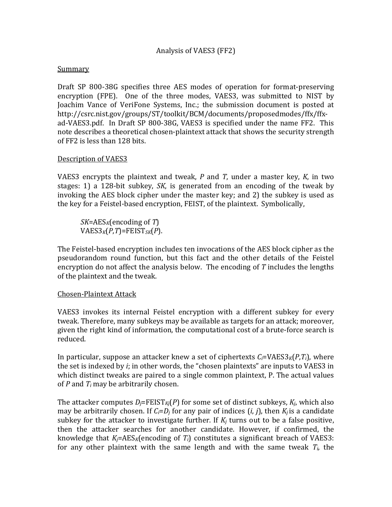## Analysis of VAES3 (FF2)

#### **Summary**

Draft SP 800-38G specifies three AES modes of operation for format-preserving encryption (FPE). One of the three modes, VAES3, was submitted to NIST by Joachim Vance of VeriFone Systems, Inc.; the submission document is posted at http://csrc.nist.gov/groups/ST/toolkit/BCM/documents/proposedmodes/ffx/ffxad-VAES3.pdf. In Draft SP 800-38G, VAES3 is specified under the name FF2. This note describes a theoretical chosen-plaintext attack that shows the security strength of FF2 is less than 128 bits.

### Description of VAES3

VAES3 encrypts the plaintext and tweak, *P* and *T*, under a master key, *K*, in two stages: 1) a 128-bit subkey, *SK*, is generated from an encoding of the tweak by invoking the AES block cipher under the master key; and 2) the subkey is used as the key for a Feistel-based encryption, FEIST, of the plaintext. Symbolically,

*SK*=AES*K*(encoding of *T*)  $VAES3_K(P,T)=FEIST_{SK}(P).$ 

The Feistel-based encryption includes ten invocations of the AES block cipher as the pseudorandom round function, but this fact and the other details of the Feistel encryption do not affect the analysis below. The encoding of *T* includes the lengths of the plaintext and the tweak.

#### Chosen-Plaintext Attack

VAES3 invokes its internal Feistel encryption with a different subkey for every tweak. Therefore, many subkeys may be available as targets for an attack; moreover, given the right kind of information, the computational cost of a brute-force search is reduced.

In particular, suppose an attacker knew a set of ciphertexts *Ci*=VAES3*K*(*P*,*Ti*), where the set is indexed by *i*; in other words, the "chosen plaintexts" are inputs to VAES3 in which distinct tweaks are paired to a single common plaintext, P. The actual values of *P* and *Ti* may be arbitrarily chosen.

The attacker computes  $D_j$ =FEIST<sub>Kj</sub> $(P)$  for some set of distinct subkeys,  $K_i$ , which also may be arbitrarily chosen. If  $C_i = D_i$  for any pair of indices  $(i, j)$ , then  $K_i$  is a candidate subkey for the attacker to investigate further. If  $K_i$  turns out to be a false positive, then the attacker searches for another candidate. However, if confirmed, the knowledge that  $K_i = AES_K$ (encoding of  $T_i$ ) constitutes a significant breach of VAES3: for any other plaintext with the same length and with the same tweak  $T_i$ , the